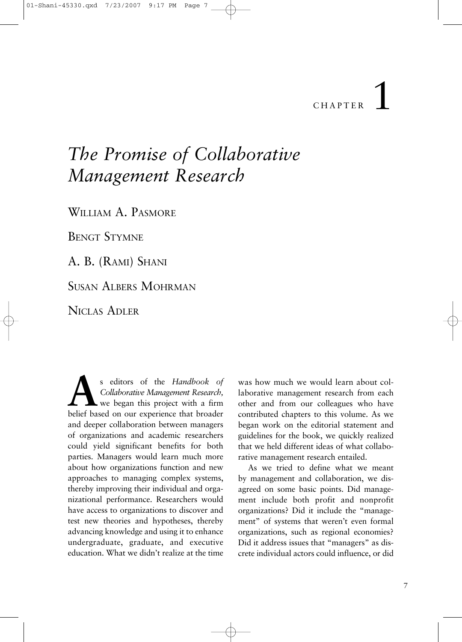# 1 CHAPTER

# *The Promise of Collaborative Management Research*

WILLIAM A. PASMORE

BENGT STYMNE

A. B. (RAMI) SHANI

SUSAN ALBERS MOHRMAN

NICLAS ADLER

s editors of the *Handbook of*<br>Collaborative Management Research,<br>helief based on our experience that broader *Collaborative Management Research,* we began this project with a firm belief based on our experience that broader and deeper collaboration between managers of organizations and academic researchers could yield significant benefits for both parties. Managers would learn much more about how organizations function and new approaches to managing complex systems, thereby improving their individual and organizational performance. Researchers would have access to organizations to discover and test new theories and hypotheses, thereby advancing knowledge and using it to enhance undergraduate, graduate, and executive education. What we didn't realize at the time

was how much we would learn about collaborative management research from each other and from our colleagues who have contributed chapters to this volume. As we began work on the editorial statement and guidelines for the book, we quickly realized that we held different ideas of what collaborative management research entailed.

As we tried to define what we meant by management and collaboration, we disagreed on some basic points. Did management include both profit and nonprofit organizations? Did it include the "management" of systems that weren't even formal organizations, such as regional economies? Did it address issues that "managers" as discrete individual actors could influence, or did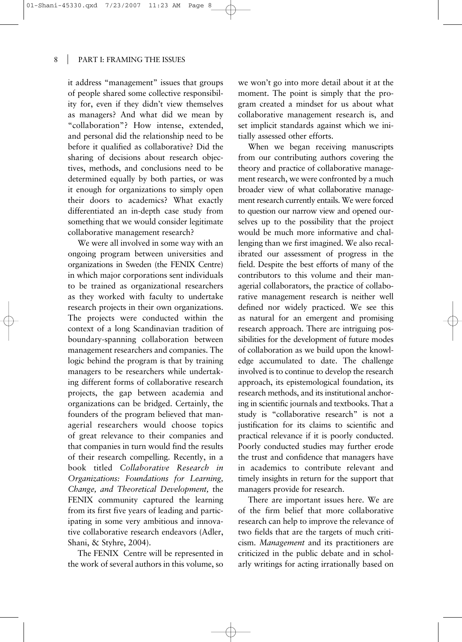it address "management" issues that groups of people shared some collective responsibility for, even if they didn't view themselves as managers? And what did we mean by "collaboration"? How intense, extended, and personal did the relationship need to be before it qualified as collaborative? Did the sharing of decisions about research objectives, methods, and conclusions need to be determined equally by both parties, or was it enough for organizations to simply open their doors to academics? What exactly differentiated an in-depth case study from something that we would consider legitimate collaborative management research?

We were all involved in some way with an ongoing program between universities and organizations in Sweden (the FENIX Centre) in which major corporations sent individuals to be trained as organizational researchers as they worked with faculty to undertake research projects in their own organizations. The projects were conducted within the context of a long Scandinavian tradition of boundary-spanning collaboration between management researchers and companies. The logic behind the program is that by training managers to be researchers while undertaking different forms of collaborative research projects, the gap between academia and organizations can be bridged. Certainly, the founders of the program believed that managerial researchers would choose topics of great relevance to their companies and that companies in turn would find the results of their research compelling. Recently, in a book titled *Collaborative Research in Organizations: Foundations for Learning, Change, and Theoretical Development,* the FENIX community captured the learning from its first five years of leading and participating in some very ambitious and innovative collaborative research endeavors (Adler, Shani, & Styhre, 2004).

The FENIX Centre will be represented in the work of several authors in this volume, so we won't go into more detail about it at the moment. The point is simply that the program created a mindset for us about what collaborative management research is, and set implicit standards against which we initially assessed other efforts.

When we began receiving manuscripts from our contributing authors covering the theory and practice of collaborative management research, we were confronted by a much broader view of what collaborative management research currently entails. We were forced to question our narrow view and opened ourselves up to the possibility that the project would be much more informative and challenging than we first imagined. We also recalibrated our assessment of progress in the field. Despite the best efforts of many of the contributors to this volume and their managerial collaborators, the practice of collaborative management research is neither well defined nor widely practiced. We see this as natural for an emergent and promising research approach. There are intriguing possibilities for the development of future modes of collaboration as we build upon the knowledge accumulated to date. The challenge involved is to continue to develop the research approach, its epistemological foundation, its research methods, and its institutional anchoring in scientific journals and textbooks. That a study is "collaborative research" is not a justification for its claims to scientific and practical relevance if it is poorly conducted. Poorly conducted studies may further erode the trust and confidence that managers have in academics to contribute relevant and timely insights in return for the support that managers provide for research.

There are important issues here. We are of the firm belief that more collaborative research can help to improve the relevance of two fields that are the targets of much criticism. *Management* and its practitioners are criticized in the public debate and in scholarly writings for acting irrationally based on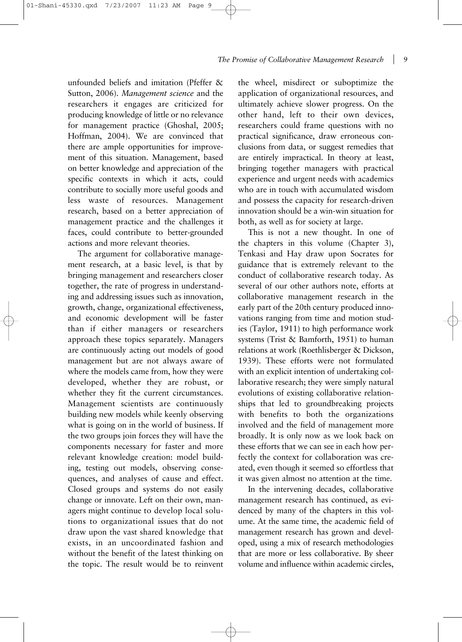## *The Promise of Collaborative Management Research* 9

unfounded beliefs and imitation (Pfeffer & Sutton, 2006). *Management science* and the researchers it engages are criticized for producing knowledge of little or no relevance for management practice (Ghoshal, 2005; Hoffman, 2004). We are convinced that there are ample opportunities for improvement of this situation. Management, based on better knowledge and appreciation of the specific contexts in which it acts, could contribute to socially more useful goods and less waste of resources. Management research, based on a better appreciation of management practice and the challenges it faces, could contribute to better-grounded actions and more relevant theories.

01-Shani-45330.qxd 7/23/2007

The argument for collaborative management research, at a basic level, is that by bringing management and researchers closer together, the rate of progress in understanding and addressing issues such as innovation, growth, change, organizational effectiveness, and economic development will be faster than if either managers or researchers approach these topics separately. Managers are continuously acting out models of good management but are not always aware of where the models came from, how they were developed, whether they are robust, or whether they fit the current circumstances. Management scientists are continuously building new models while keenly observing what is going on in the world of business. If the two groups join forces they will have the components necessary for faster and more relevant knowledge creation: model building, testing out models, observing consequences, and analyses of cause and effect. Closed groups and systems do not easily change or innovate. Left on their own, managers might continue to develop local solutions to organizational issues that do not draw upon the vast shared knowledge that exists, in an uncoordinated fashion and without the benefit of the latest thinking on the topic. The result would be to reinvent

the wheel, misdirect or suboptimize the application of organizational resources, and ultimately achieve slower progress. On the other hand, left to their own devices, researchers could frame questions with no practical significance, draw erroneous conclusions from data, or suggest remedies that are entirely impractical. In theory at least, bringing together managers with practical experience and urgent needs with academics who are in touch with accumulated wisdom and possess the capacity for research-driven innovation should be a win-win situation for both, as well as for society at large.

This is not a new thought. In one of the chapters in this volume (Chapter 3), Tenkasi and Hay draw upon Socrates for guidance that is extremely relevant to the conduct of collaborative research today. As several of our other authors note, efforts at collaborative management research in the early part of the 20th century produced innovations ranging from time and motion studies (Taylor, 1911) to high performance work systems (Trist & Bamforth, 1951) to human relations at work (Roethlisberger & Dickson, 1939). These efforts were not formulated with an explicit intention of undertaking collaborative research; they were simply natural evolutions of existing collaborative relationships that led to groundbreaking projects with benefits to both the organizations involved and the field of management more broadly. It is only now as we look back on these efforts that we can see in each how perfectly the context for collaboration was created, even though it seemed so effortless that it was given almost no attention at the time.

In the intervening decades, collaborative management research has continued, as evidenced by many of the chapters in this volume. At the same time, the academic field of management research has grown and developed, using a mix of research methodologies that are more or less collaborative. By sheer volume and influence within academic circles,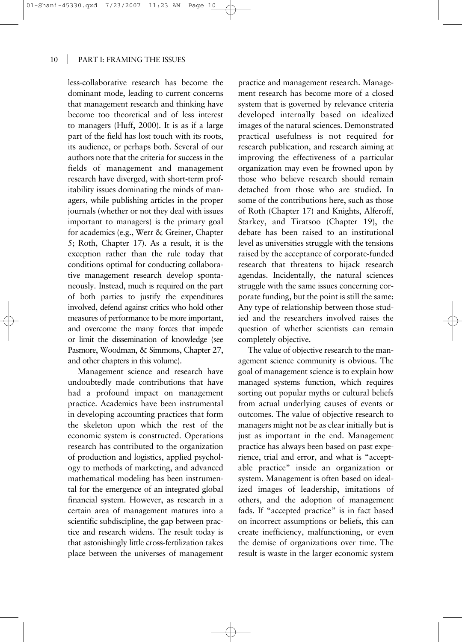less-collaborative research has become the dominant mode, leading to current concerns that management research and thinking have become too theoretical and of less interest to managers (Huff, 2000). It is as if a large part of the field has lost touch with its roots, its audience, or perhaps both. Several of our authors note that the criteria for success in the fields of management and management research have diverged, with short-term profitability issues dominating the minds of managers, while publishing articles in the proper journals (whether or not they deal with issues important to managers) is the primary goal for academics (e.g., Werr & Greiner, Chapter 5; Roth, Chapter 17). As a result, it is the exception rather than the rule today that conditions optimal for conducting collaborative management research develop spontaneously. Instead, much is required on the part of both parties to justify the expenditures involved, defend against critics who hold other measures of performance to be more important, and overcome the many forces that impede or limit the dissemination of knowledge (see Pasmore, Woodman, & Simmons, Chapter 27, and other chapters in this volume).

Management science and research have undoubtedly made contributions that have had a profound impact on management practice. Academics have been instrumental in developing accounting practices that form the skeleton upon which the rest of the economic system is constructed. Operations research has contributed to the organization of production and logistics, applied psychology to methods of marketing, and advanced mathematical modeling has been instrumental for the emergence of an integrated global financial system. However, as research in a certain area of management matures into a scientific subdiscipline, the gap between practice and research widens. The result today is that astonishingly little cross-fertilization takes place between the universes of management

practice and management research. Management research has become more of a closed system that is governed by relevance criteria developed internally based on idealized images of the natural sciences. Demonstrated practical usefulness is not required for research publication, and research aiming at improving the effectiveness of a particular organization may even be frowned upon by those who believe research should remain detached from those who are studied. In some of the contributions here, such as those of Roth (Chapter 17) and Knights, Alferoff, Starkey, and Tiratsoo (Chapter 19), the debate has been raised to an institutional level as universities struggle with the tensions raised by the acceptance of corporate-funded research that threatens to hijack research agendas. Incidentally, the natural sciences struggle with the same issues concerning corporate funding, but the point is still the same: Any type of relationship between those studied and the researchers involved raises the question of whether scientists can remain completely objective.

The value of objective research to the management science community is obvious. The goal of management science is to explain how managed systems function, which requires sorting out popular myths or cultural beliefs from actual underlying causes of events or outcomes. The value of objective research to managers might not be as clear initially but is just as important in the end. Management practice has always been based on past experience, trial and error, and what is "acceptable practice" inside an organization or system. Management is often based on idealized images of leadership, imitations of others, and the adoption of management fads. If "accepted practice" is in fact based on incorrect assumptions or beliefs, this can create inefficiency, malfunctioning, or even the demise of organizations over time. The result is waste in the larger economic system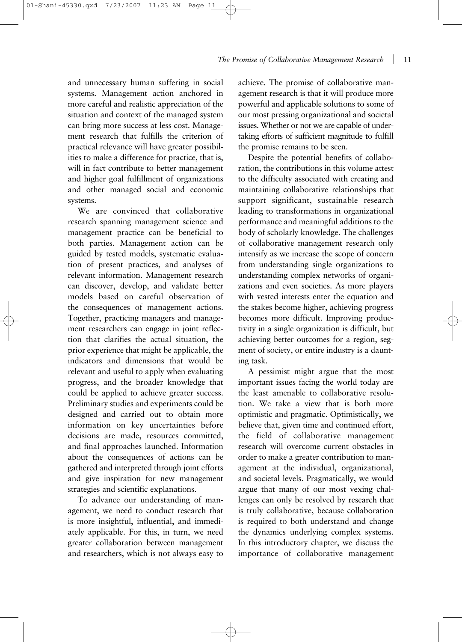and unnecessary human suffering in social systems. Management action anchored in more careful and realistic appreciation of the situation and context of the managed system can bring more success at less cost. Management research that fulfills the criterion of practical relevance will have greater possibilities to make a difference for practice, that is, will in fact contribute to better management and higher goal fulfillment of organizations and other managed social and economic systems.

01-Shani-45330.qxd 7/23/2007 11:23

We are convinced that collaborative research spanning management science and management practice can be beneficial to both parties. Management action can be guided by tested models, systematic evaluation of present practices, and analyses of relevant information. Management research can discover, develop, and validate better models based on careful observation of the consequences of management actions. Together, practicing managers and management researchers can engage in joint reflection that clarifies the actual situation, the prior experience that might be applicable, the indicators and dimensions that would be relevant and useful to apply when evaluating progress, and the broader knowledge that could be applied to achieve greater success. Preliminary studies and experiments could be designed and carried out to obtain more information on key uncertainties before decisions are made, resources committed, and final approaches launched. Information about the consequences of actions can be gathered and interpreted through joint efforts and give inspiration for new management strategies and scientific explanations.

To advance our understanding of management, we need to conduct research that is more insightful, influential, and immediately applicable. For this, in turn, we need greater collaboration between management and researchers, which is not always easy to achieve. The promise of collaborative management research is that it will produce more powerful and applicable solutions to some of our most pressing organizational and societal issues. Whether or not we are capable of undertaking efforts of sufficient magnitude to fulfill the promise remains to be seen.

Despite the potential benefits of collaboration, the contributions in this volume attest to the difficulty associated with creating and maintaining collaborative relationships that support significant, sustainable research leading to transformations in organizational performance and meaningful additions to the body of scholarly knowledge. The challenges of collaborative management research only intensify as we increase the scope of concern from understanding single organizations to understanding complex networks of organizations and even societies. As more players with vested interests enter the equation and the stakes become higher, achieving progress becomes more difficult. Improving productivity in a single organization is difficult, but achieving better outcomes for a region, segment of society, or entire industry is a daunting task.

A pessimist might argue that the most important issues facing the world today are the least amenable to collaborative resolution. We take a view that is both more optimistic and pragmatic. Optimistically, we believe that, given time and continued effort, the field of collaborative management research will overcome current obstacles in order to make a greater contribution to management at the individual, organizational, and societal levels. Pragmatically, we would argue that many of our most vexing challenges can only be resolved by research that is truly collaborative, because collaboration is required to both understand and change the dynamics underlying complex systems. In this introductory chapter, we discuss the importance of collaborative management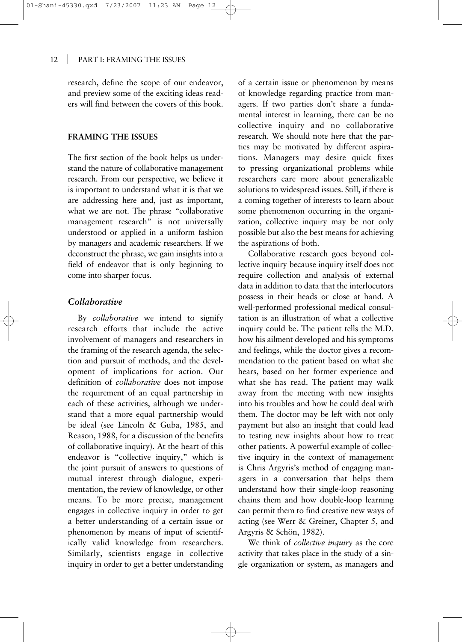research, define the scope of our endeavor, and preview some of the exciting ideas readers will find between the covers of this book.

# **FRAMING THE ISSUES**

The first section of the book helps us understand the nature of collaborative management research. From our perspective, we believe it is important to understand what it is that we are addressing here and, just as important, what we are not. The phrase "collaborative management research" is not universally understood or applied in a uniform fashion by managers and academic researchers. If we deconstruct the phrase, we gain insights into a field of endeavor that is only beginning to come into sharper focus.

# *Collaborative*

By *collaborative* we intend to signify research efforts that include the active involvement of managers and researchers in the framing of the research agenda, the selection and pursuit of methods, and the development of implications for action. Our definition of *collaborative* does not impose the requirement of an equal partnership in each of these activities, although we understand that a more equal partnership would be ideal (see Lincoln & Guba, 1985, and Reason, 1988, for a discussion of the benefits of collaborative inquiry). At the heart of this endeavor is "collective inquiry," which is the joint pursuit of answers to questions of mutual interest through dialogue, experimentation, the review of knowledge, or other means. To be more precise, management engages in collective inquiry in order to get a better understanding of a certain issue or phenomenon by means of input of scientifically valid knowledge from researchers. Similarly, scientists engage in collective inquiry in order to get a better understanding

of a certain issue or phenomenon by means of knowledge regarding practice from managers. If two parties don't share a fundamental interest in learning, there can be no collective inquiry and no collaborative research. We should note here that the parties may be motivated by different aspirations. Managers may desire quick fixes to pressing organizational problems while researchers care more about generalizable solutions to widespread issues. Still, if there is a coming together of interests to learn about some phenomenon occurring in the organization, collective inquiry may be not only possible but also the best means for achieving the aspirations of both.

Collaborative research goes beyond collective inquiry because inquiry itself does not require collection and analysis of external data in addition to data that the interlocutors possess in their heads or close at hand. A well-performed professional medical consultation is an illustration of what a collective inquiry could be. The patient tells the M.D. how his ailment developed and his symptoms and feelings, while the doctor gives a recommendation to the patient based on what she hears, based on her former experience and what she has read. The patient may walk away from the meeting with new insights into his troubles and how he could deal with them. The doctor may be left with not only payment but also an insight that could lead to testing new insights about how to treat other patients. A powerful example of collective inquiry in the context of management is Chris Argyris's method of engaging managers in a conversation that helps them understand how their single-loop reasoning chains them and how double-loop learning can permit them to find creative new ways of acting (see Werr & Greiner, Chapter 5, and Argyris & Schön, 1982).

We think of *collective inquiry* as the core activity that takes place in the study of a single organization or system, as managers and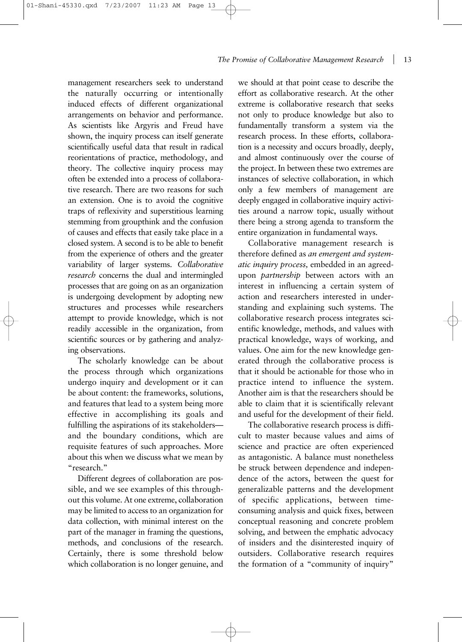## *The Promise of Collaborative Management Research* | 13

management researchers seek to understand the naturally occurring or intentionally induced effects of different organizational arrangements on behavior and performance. As scientists like Argyris and Freud have shown, the inquiry process can itself generate scientifically useful data that result in radical reorientations of practice, methodology, and theory. The collective inquiry process may often be extended into a process of collaborative research. There are two reasons for such an extension. One is to avoid the cognitive traps of reflexivity and superstitious learning stemming from groupthink and the confusion of causes and effects that easily take place in a closed system. A second is to be able to benefit from the experience of others and the greater variability of larger systems. *Collaborative research* concerns the dual and intermingled processes that are going on as an organization is undergoing development by adopting new structures and processes while researchers attempt to provide knowledge, which is not readily accessible in the organization, from scientific sources or by gathering and analyzing observations.

01-Shani-45330.qxd 7/23/2007 11:23

The scholarly knowledge can be about the process through which organizations undergo inquiry and development or it can be about content: the frameworks, solutions, and features that lead to a system being more effective in accomplishing its goals and fulfilling the aspirations of its stakeholders and the boundary conditions, which are requisite features of such approaches. More about this when we discuss what we mean by "research."

Different degrees of collaboration are possible, and we see examples of this throughout this volume. At one extreme, collaboration may be limited to access to an organization for data collection, with minimal interest on the part of the manager in framing the questions, methods, and conclusions of the research. Certainly, there is some threshold below which collaboration is no longer genuine, and we should at that point cease to describe the effort as collaborative research. At the other extreme is collaborative research that seeks not only to produce knowledge but also to fundamentally transform a system via the research process. In these efforts, collaboration is a necessity and occurs broadly, deeply, and almost continuously over the course of the project. In between these two extremes are instances of selective collaboration, in which only a few members of management are deeply engaged in collaborative inquiry activities around a narrow topic, usually without there being a strong agenda to transform the entire organization in fundamental ways.

Collaborative management research is therefore defined as *an emergent and systematic inquiry process,* embedded in an agreedupon *partnership* between actors with an interest in influencing a certain system of action and researchers interested in understanding and explaining such systems. The collaborative research process integrates scientific knowledge, methods, and values with practical knowledge, ways of working, and values. One aim for the new knowledge generated through the collaborative process is that it should be actionable for those who in practice intend to influence the system. Another aim is that the researchers should be able to claim that it is scientifically relevant and useful for the development of their field.

The collaborative research process is difficult to master because values and aims of science and practice are often experienced as antagonistic. A balance must nonetheless be struck between dependence and independence of the actors, between the quest for generalizable patterns and the development of specific applications, between timeconsuming analysis and quick fixes, between conceptual reasoning and concrete problem solving, and between the emphatic advocacy of insiders and the disinterested inquiry of outsiders. Collaborative research requires the formation of a "community of inquiry"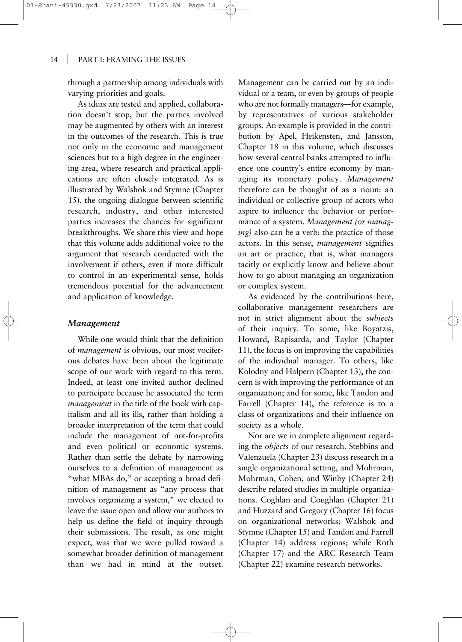through a partnership among individuals with varying priorities and goals.

As ideas are tested and applied, collaboration doesn't stop, but the parties involved may be augmented by others with an interest in the outcomes of the research. This is true not only in the economic and management sciences but to a high degree in the engineering area, where research and practical applications are often closely integrated. As is illustrated by Walshok and Stymne (Chapter 15), the ongoing dialogue between scientific research, industry, and other interested parties increases the chances for significant breakthroughs. We share this view and hope that this volume adds additional voice to the argument that research conducted with the involvement if others, even if more difficult to control in an experimental sense, holds tremendous potential for the advancement and application of knowledge.

## *Management*

While one would think that the definition of *management* is obvious, our most vociferous debates have been about the legitimate scope of our work with regard to this term. Indeed, at least one invited author declined to participate because he associated the term *management* in the title of the book with capitalism and all its ills, rather than holding a broader interpretation of the term that could include the management of not-for-profits and even political or economic systems. Rather than settle the debate by narrowing ourselves to a definition of management as "what MBAs do," or accepting a broad definition of management as "any process that involves organizing a system," we elected to leave the issue open and allow our authors to help us define the field of inquiry through their submissions. The result, as one might expect, was that we were pulled toward a somewhat broader definition of management than we had in mind at the outset.

Management can be carried out by an individual or a team, or even by groups of people who are not formally managers—for example, by representatives of various stakeholder groups. An example is provided in the contribution by Apel, Heikensten, and Jansson, Chapter 18 in this volume, which discusses how several central banks attempted to influence one country's entire economy by managing its monetary policy. *Management* therefore can be thought of as a noun: an individual or collective group of actors who aspire to influence the behavior or performance of a system. *Management (or managing)* also can be a verb: the practice of those actors. In this sense, *management* signifies an art or practice, that is, what managers tacitly or explicitly know and believe about how to go about managing an organization or complex system.

As evidenced by the contributions here, collaborative management researchers are not in strict alignment about the *subjects* of their inquiry. To some, like Boyatzis, Howard, Rapisarda, and Taylor (Chapter 11), the focus is on improving the capabilities of the individual manager. To others, like Kolodny and Halpern (Chapter 13), the concern is with improving the performance of an organization; and for some, like Tandon and Farrell (Chapter 14), the reference is to a class of organizations and their influence on society as a whole.

Nor are we in complete alignment regarding the *objects* of our research. Stebbins and Valenzuela (Chapter 23) discuss research in a single organizational setting, and Mohrman, Mohrman, Cohen, and Winby (Chapter 24) describe related studies in multiple organizations. Coghlan and Coughlan (Chapter 21) and Huzzard and Gregory (Chapter 16) focus on organizational networks; Walshok and Stymne (Chapter 15) and Tandon and Farrell (Chapter 14) address regions; while Roth (Chapter 17) and the ARC Research Team (Chapter 22) examine research networks.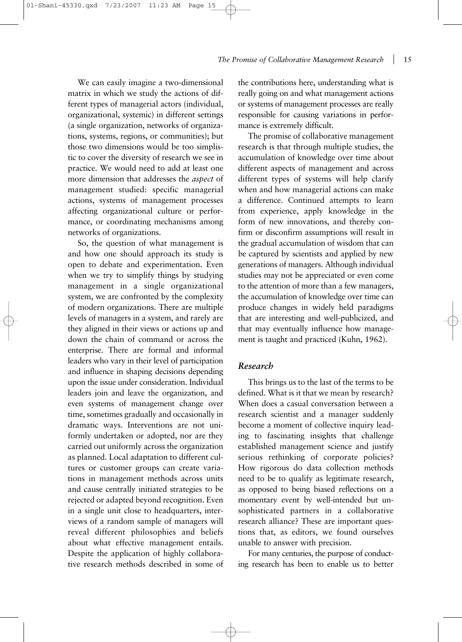We can easily imagine a two-dimensional matrix in which we study the actions of different types of managerial actors (individual, organizational, systemic) in different settings (a single organization, networks of organizations, systems, regions, or communities); but those two dimensions would be too simplistic to cover the diversity of research we see in practice. We would need to add at least one more dimension that addresses the *aspect* of management studied: specific managerial actions, systems of management processes affecting organizational culture or performance, or coordinating mechanisms among networks of organizations.

01-Shani-45330.qxd 7/23/2007 11:23

So, the question of what management is and how one should approach its study is open to debate and experimentation. Even when we try to simplify things by studying management in a single organizational system, we are confronted by the complexity of modern organizations. There are multiple levels of managers in a system, and rarely are they aligned in their views or actions up and down the chain of command or across the enterprise. There are formal and informal leaders who vary in their level of participation and influence in shaping decisions depending upon the issue under consideration. Individual leaders join and leave the organization, and even systems of management change over time, sometimes gradually and occasionally in dramatic ways. Interventions are not uniformly undertaken or adopted, nor are they carried out uniformly across the organization as planned. Local adaptation to different cultures or customer groups can create variations in management methods across units and cause centrally initiated strategies to be rejected or adapted beyond recognition. Even in a single unit close to headquarters, interviews of a random sample of managers will reveal different philosophies and beliefs about what effective management entails. Despite the application of highly collaborative research methods described in some of the contributions here, understanding what is really going on and what management actions or systems of management processes are really responsible for causing variations in performance is extremely difficult.

The promise of collaborative management research is that through multiple studies, the accumulation of knowledge over time about different aspects of management and across different types of systems will help clarify when and how managerial actions can make a difference. Continued attempts to learn from experience, apply knowledge in the form of new innovations, and thereby confirm or disconfirm assumptions will result in the gradual accumulation of wisdom that can be captured by scientists and applied by new generations of managers. Although individual studies may not be appreciated or even come to the attention of more than a few managers, the accumulation of knowledge over time can produce changes in widely held paradigms that are interesting and well-publicized, and that may eventually influence how management is taught and practiced (Kuhn, 1962).

## *Research*

This brings us to the last of the terms to be defined. What is it that we mean by research? When does a casual conversation between a research scientist and a manager suddenly become a moment of collective inquiry leading to fascinating insights that challenge established management science and justify serious rethinking of corporate policies? How rigorous do data collection methods need to be to qualify as legitimate research, as opposed to being biased reflections on a momentary event by well-intended but unsophisticated partners in a collaborative research alliance? These are important questions that, as editors, we found ourselves unable to answer with precision.

For many centuries, the purpose of conducting research has been to enable us to better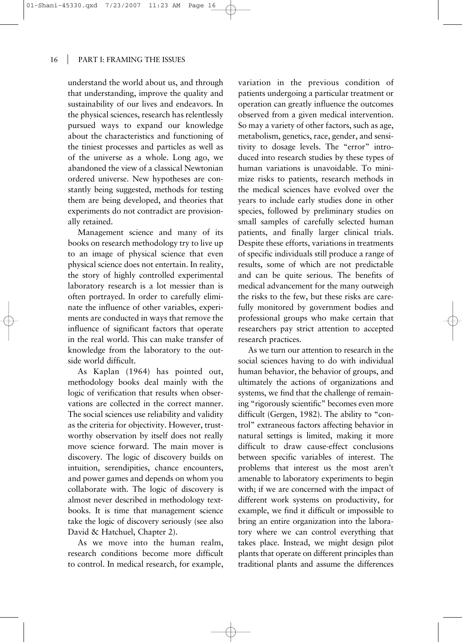understand the world about us, and through that understanding, improve the quality and sustainability of our lives and endeavors. In the physical sciences, research has relentlessly pursued ways to expand our knowledge about the characteristics and functioning of the tiniest processes and particles as well as of the universe as a whole. Long ago, we abandoned the view of a classical Newtonian ordered universe. New hypotheses are constantly being suggested, methods for testing them are being developed, and theories that experiments do not contradict are provisionally retained.

Management science and many of its books on research methodology try to live up to an image of physical science that even physical science does not entertain. In reality, the story of highly controlled experimental laboratory research is a lot messier than is often portrayed. In order to carefully eliminate the influence of other variables, experiments are conducted in ways that remove the influence of significant factors that operate in the real world. This can make transfer of knowledge from the laboratory to the outside world difficult.

As Kaplan (1964) has pointed out, methodology books deal mainly with the logic of verification that results when observations are collected in the correct manner. The social sciences use reliability and validity as the criteria for objectivity. However, trustworthy observation by itself does not really move science forward. The main mover is discovery. The logic of discovery builds on intuition, serendipities, chance encounters, and power games and depends on whom you collaborate with. The logic of discovery is almost never described in methodology textbooks. It is time that management science take the logic of discovery seriously (see also David & Hatchuel, Chapter 2).

As we move into the human realm, research conditions become more difficult to control. In medical research, for example, variation in the previous condition of patients undergoing a particular treatment or operation can greatly influence the outcomes observed from a given medical intervention. So may a variety of other factors, such as age, metabolism, genetics, race, gender, and sensitivity to dosage levels. The "error" introduced into research studies by these types of human variations is unavoidable. To minimize risks to patients, research methods in the medical sciences have evolved over the years to include early studies done in other species, followed by preliminary studies on small samples of carefully selected human patients, and finally larger clinical trials. Despite these efforts, variations in treatments of specific individuals still produce a range of results, some of which are not predictable and can be quite serious. The benefits of medical advancement for the many outweigh the risks to the few, but these risks are carefully monitored by government bodies and professional groups who make certain that researchers pay strict attention to accepted research practices.

As we turn our attention to research in the social sciences having to do with individual human behavior, the behavior of groups, and ultimately the actions of organizations and systems, we find that the challenge of remaining "rigorously scientific" becomes even more difficult (Gergen, 1982). The ability to "control" extraneous factors affecting behavior in natural settings is limited, making it more difficult to draw cause-effect conclusions between specific variables of interest. The problems that interest us the most aren't amenable to laboratory experiments to begin with; if we are concerned with the impact of different work systems on productivity, for example, we find it difficult or impossible to bring an entire organization into the laboratory where we can control everything that takes place. Instead, we might design pilot plants that operate on different principles than traditional plants and assume the differences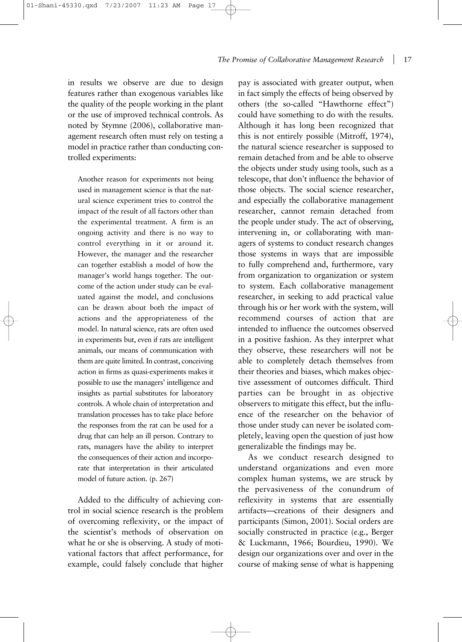in results we observe are due to design features rather than exogenous variables like the quality of the people working in the plant or the use of improved technical controls. As noted by Stymne (2006), collaborative management research often must rely on testing a model in practice rather than conducting controlled experiments:

Another reason for experiments not being used in management science is that the natural science experiment tries to control the impact of the result of all factors other than the experimental treatment. A firm is an ongoing activity and there is no way to control everything in it or around it. However, the manager and the researcher can together establish a model of how the manager's world hangs together. The outcome of the action under study can be evaluated against the model, and conclusions can be drawn about both the impact of actions and the appropriateness of the model. In natural science, rats are often used in experiments but, even if rats are intelligent animals, our means of communication with them are quite limited. In contrast, conceiving action in firms as quasi-experiments makes it possible to use the managers' intelligence and insights as partial substitutes for laboratory controls. A whole chain of interpretation and translation processes has to take place before the responses from the rat can be used for a drug that can help an ill person. Contrary to rats, managers have the ability to interpret the consequences of their action and incorporate that interpretation in their articulated model of future action. (p. 267)

Added to the difficulty of achieving control in social science research is the problem of overcoming reflexivity, or the impact of the scientist's methods of observation on what he or she is observing. A study of motivational factors that affect performance, for example, could falsely conclude that higher

pay is associated with greater output, when in fact simply the effects of being observed by others (the so-called "Hawthorne effect") could have something to do with the results. Although it has long been recognized that this is not entirely possible (Mitroff, 1974), the natural science researcher is supposed to remain detached from and be able to observe the objects under study using tools, such as a telescope, that don't influence the behavior of those objects. The social science researcher, and especially the collaborative management researcher, cannot remain detached from the people under study. The act of observing, intervening in, or collaborating with managers of systems to conduct research changes those systems in ways that are impossible to fully comprehend and, furthermore, vary from organization to organization or system to system. Each collaborative management researcher, in seeking to add practical value through his or her work with the system, will recommend courses of action that are intended to influence the outcomes observed in a positive fashion. As they interpret what they observe, these researchers will not be able to completely detach themselves from their theories and biases, which makes objective assessment of outcomes difficult. Third parties can be brought in as objective observers to mitigate this effect, but the influence of the researcher on the behavior of those under study can never be isolated completely, leaving open the question of just how generalizable the findings may be.

As we conduct research designed to understand organizations and even more complex human systems, we are struck by the pervasiveness of the conundrum of reflexivity in systems that are essentially artifacts—creations of their designers and participants (Simon, 2001). Social orders are socially constructed in practice (e.g., Berger & Luckmann, 1966; Bourdieu, 1990). We design our organizations over and over in the course of making sense of what is happening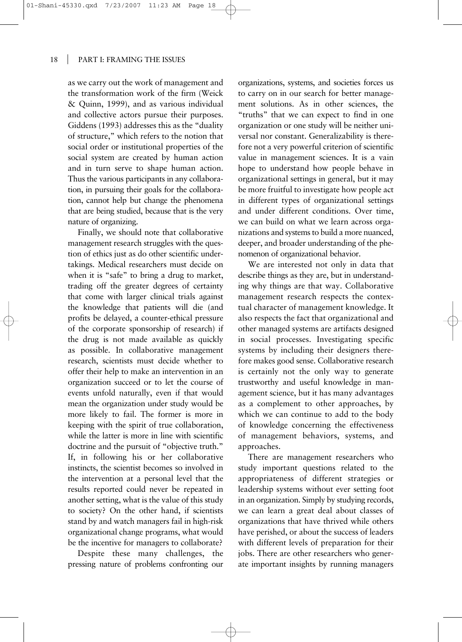as we carry out the work of management and the transformation work of the firm (Weick & Quinn, 1999), and as various individual and collective actors pursue their purposes. Giddens (1993) addresses this as the "duality of structure," which refers to the notion that social order or institutional properties of the social system are created by human action and in turn serve to shape human action. Thus the various participants in any collaboration, in pursuing their goals for the collaboration, cannot help but change the phenomena that are being studied, because that is the very nature of organizing.

Finally, we should note that collaborative management research struggles with the question of ethics just as do other scientific undertakings. Medical researchers must decide on when it is "safe" to bring a drug to market, trading off the greater degrees of certainty that come with larger clinical trials against the knowledge that patients will die (and profits be delayed, a counter-ethical pressure of the corporate sponsorship of research) if the drug is not made available as quickly as possible. In collaborative management research, scientists must decide whether to offer their help to make an intervention in an organization succeed or to let the course of events unfold naturally, even if that would mean the organization under study would be more likely to fail. The former is more in keeping with the spirit of true collaboration, while the latter is more in line with scientific doctrine and the pursuit of "objective truth." If, in following his or her collaborative instincts, the scientist becomes so involved in the intervention at a personal level that the results reported could never be repeated in another setting, what is the value of this study to society? On the other hand, if scientists stand by and watch managers fail in high-risk organizational change programs, what would be the incentive for managers to collaborate?

Despite these many challenges, the pressing nature of problems confronting our

organizations, systems, and societies forces us to carry on in our search for better management solutions. As in other sciences, the "truths" that we can expect to find in one organization or one study will be neither universal nor constant. Generalizability is therefore not a very powerful criterion of scientific value in management sciences. It is a vain hope to understand how people behave in organizational settings in general, but it may be more fruitful to investigate how people act in different types of organizational settings and under different conditions. Over time, we can build on what we learn across organizations and systems to build a more nuanced, deeper, and broader understanding of the phenomenon of organizational behavior.

We are interested not only in data that describe things as they are, but in understanding why things are that way. Collaborative management research respects the contextual character of management knowledge. It also respects the fact that organizational and other managed systems are artifacts designed in social processes. Investigating specific systems by including their designers therefore makes good sense. Collaborative research is certainly not the only way to generate trustworthy and useful knowledge in management science, but it has many advantages as a complement to other approaches, by which we can continue to add to the body of knowledge concerning the effectiveness of management behaviors, systems, and approaches.

There are management researchers who study important questions related to the appropriateness of different strategies or leadership systems without ever setting foot in an organization. Simply by studying records, we can learn a great deal about classes of organizations that have thrived while others have perished, or about the success of leaders with different levels of preparation for their jobs. There are other researchers who generate important insights by running managers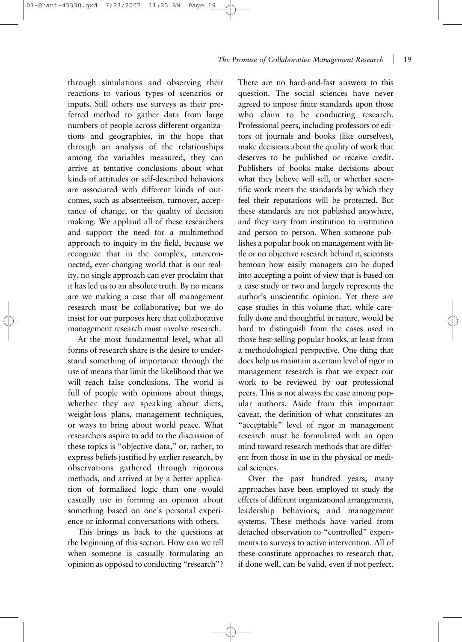## *The Promise of Collaborative Management Research* 19

through simulations and observing their reactions to various types of scenarios or inputs. Still others use surveys as their preferred method to gather data from large numbers of people across different organizations and geographies, in the hope that through an analysis of the relationships among the variables measured, they can arrive at tentative conclusions about what kinds of attitudes or self-described behaviors are associated with different kinds of outcomes, such as absenteeism, turnover, acceptance of change, or the quality of decision making. We applaud all of these researchers and support the need for a multimethod approach to inquiry in the field, because we recognize that in the complex, interconnected, ever-changing world that is our reality, no single approach can ever proclaim that it has led us to an absolute truth. By no means are we making a case that all management research must be collaborative; but we do insist for our purposes here that collaborative management research must involve research.

01-Shani-45330.qxd 7/23/2007 11:23

At the most fundamental level, what all forms of research share is the desire to understand something of importance through the use of means that limit the likelihood that we will reach false conclusions. The world is full of people with opinions about things, whether they are speaking about diets, weight-loss plans, management techniques, or ways to bring about world peace. What researchers aspire to add to the discussion of these topics is "objective data," or, rather, to express beliefs justified by earlier research, by observations gathered through rigorous methods, and arrived at by a better application of formalized logic than one would casually use in forming an opinion about something based on one's personal experience or informal conversations with others.

This brings us back to the questions at the beginning of this section. How can we tell when someone is casually formulating an opinion as opposed to conducting "research"?

There are no hard-and-fast answers to this question. The social sciences have never agreed to impose finite standards upon those who claim to be conducting research. Professional peers, including professors or editors of journals and books (like ourselves), make decisions about the quality of work that deserves to be published or receive credit. Publishers of books make decisions about what they believe will sell, or whether scientific work meets the standards by which they feel their reputations will be protected. But these standards are not published anywhere, and they vary from institution to institution and person to person. When someone publishes a popular book on management with little or no objective research behind it, scientists bemoan how easily managers can be duped into accepting a point of view that is based on a case study or two and largely represents the author's unscientific opinion. Yet there are case studies in this volume that, while carefully done and thoughtful in nature, would be hard to distinguish from the cases used in those best-selling popular books, at least from a methodological perspective. One thing that does help us maintain a certain level of rigor in management research is that we expect our work to be reviewed by our professional peers. This is not always the case among popular authors. Aside from this important caveat, the definition of what constitutes an "acceptable" level of rigor in management research must be formulated with an open mind toward research methods that are different from those in use in the physical or medical sciences.

Over the past hundred years, many approaches have been employed to study the effects of different organizational arrangements, leadership behaviors, and management systems. These methods have varied from detached observation to "controlled" experiments to surveys to active intervention. All of these constitute approaches to research that, if done well, can be valid, even if not perfect.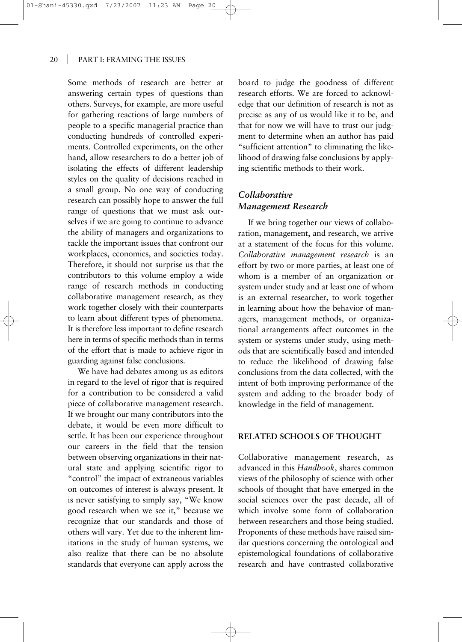Some methods of research are better at answering certain types of questions than others. Surveys, for example, are more useful for gathering reactions of large numbers of people to a specific managerial practice than conducting hundreds of controlled experiments. Controlled experiments, on the other hand, allow researchers to do a better job of isolating the effects of different leadership styles on the quality of decisions reached in a small group. No one way of conducting research can possibly hope to answer the full range of questions that we must ask ourselves if we are going to continue to advance the ability of managers and organizations to tackle the important issues that confront our workplaces, economies, and societies today. Therefore, it should not surprise us that the contributors to this volume employ a wide range of research methods in conducting collaborative management research, as they work together closely with their counterparts to learn about different types of phenomena. It is therefore less important to define research here in terms of specific methods than in terms of the effort that is made to achieve rigor in guarding against false conclusions.

We have had debates among us as editors in regard to the level of rigor that is required for a contribution to be considered a valid piece of collaborative management research. If we brought our many contributors into the debate, it would be even more difficult to settle. It has been our experience throughout our careers in the field that the tension between observing organizations in their natural state and applying scientific rigor to "control" the impact of extraneous variables on outcomes of interest is always present. It is never satisfying to simply say, "We know good research when we see it," because we recognize that our standards and those of others will vary. Yet due to the inherent limitations in the study of human systems, we also realize that there can be no absolute standards that everyone can apply across the board to judge the goodness of different research efforts. We are forced to acknowledge that our definition of research is not as precise as any of us would like it to be, and that for now we will have to trust our judgment to determine when an author has paid "sufficient attention" to eliminating the likelihood of drawing false conclusions by applying scientific methods to their work.

# *Collaborative Management Research*

If we bring together our views of collaboration, management, and research, we arrive at a statement of the focus for this volume. *Collaborative management research* is an effort by two or more parties, at least one of whom is a member of an organization or system under study and at least one of whom is an external researcher, to work together in learning about how the behavior of managers, management methods, or organizational arrangements affect outcomes in the system or systems under study, using methods that are scientifically based and intended to reduce the likelihood of drawing false conclusions from the data collected, with the intent of both improving performance of the system and adding to the broader body of knowledge in the field of management.

# **RELATED SCHOOLS OF THOUGHT**

Collaborative management research, as advanced in this *Handbook*, shares common views of the philosophy of science with other schools of thought that have emerged in the social sciences over the past decade, all of which involve some form of collaboration between researchers and those being studied. Proponents of these methods have raised similar questions concerning the ontological and epistemological foundations of collaborative research and have contrasted collaborative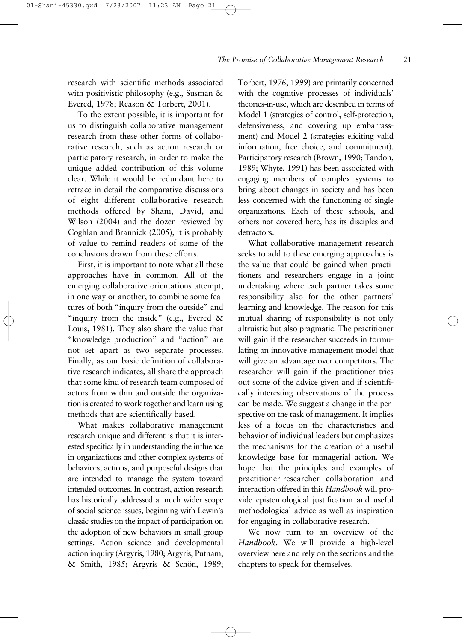research with scientific methods associated with positivistic philosophy (e.g., Susman & Evered, 1978; Reason & Torbert, 2001).

To the extent possible, it is important for us to distinguish collaborative management research from these other forms of collaborative research, such as action research or participatory research, in order to make the unique added contribution of this volume clear. While it would be redundant here to retrace in detail the comparative discussions of eight different collaborative research methods offered by Shani, David, and Wilson (2004) and the dozen reviewed by Coghlan and Brannick (2005), it is probably of value to remind readers of some of the conclusions drawn from these efforts.

First, it is important to note what all these approaches have in common. All of the emerging collaborative orientations attempt, in one way or another, to combine some features of both "inquiry from the outside" and "inquiry from the inside" (e.g., Evered  $\&$ Louis, 1981). They also share the value that "knowledge production" and "action" are not set apart as two separate processes. Finally, as our basic definition of collaborative research indicates, all share the approach that some kind of research team composed of actors from within and outside the organization is created to work together and learn using methods that are scientifically based.

What makes collaborative management research unique and different is that it is interested specifically in understanding the influence in organizations and other complex systems of behaviors, actions, and purposeful designs that are intended to manage the system toward intended outcomes. In contrast, action research has historically addressed a much wider scope of social science issues, beginning with Lewin's classic studies on the impact of participation on the adoption of new behaviors in small group settings. Action science and developmental action inquiry (Argyris, 1980; Argyris, Putnam, & Smith, 1985; Argyris & Schön, 1989; Torbert, 1976, 1999) are primarily concerned with the cognitive processes of individuals' theories-in-use, which are described in terms of Model 1 (strategies of control, self-protection, defensiveness, and covering up embarrassment) and Model 2 (strategies eliciting valid information, free choice, and commitment). Participatory research (Brown, 1990; Tandon, 1989; Whyte, 1991) has been associated with engaging members of complex systems to bring about changes in society and has been less concerned with the functioning of single organizations. Each of these schools, and others not covered here, has its disciples and detractors.

What collaborative management research seeks to add to these emerging approaches is the value that could be gained when practitioners and researchers engage in a joint undertaking where each partner takes some responsibility also for the other partners' learning and knowledge. The reason for this mutual sharing of responsibility is not only altruistic but also pragmatic. The practitioner will gain if the researcher succeeds in formulating an innovative management model that will give an advantage over competitors. The researcher will gain if the practitioner tries out some of the advice given and if scientifically interesting observations of the process can be made. We suggest a change in the perspective on the task of management. It implies less of a focus on the characteristics and behavior of individual leaders but emphasizes the mechanisms for the creation of a useful knowledge base for managerial action. We hope that the principles and examples of practitioner-researcher collaboration and interaction offered in this *Handbook* will provide epistemological justification and useful methodological advice as well as inspiration for engaging in collaborative research.

We now turn to an overview of the *Handbook*. We will provide a high-level overview here and rely on the sections and the chapters to speak for themselves.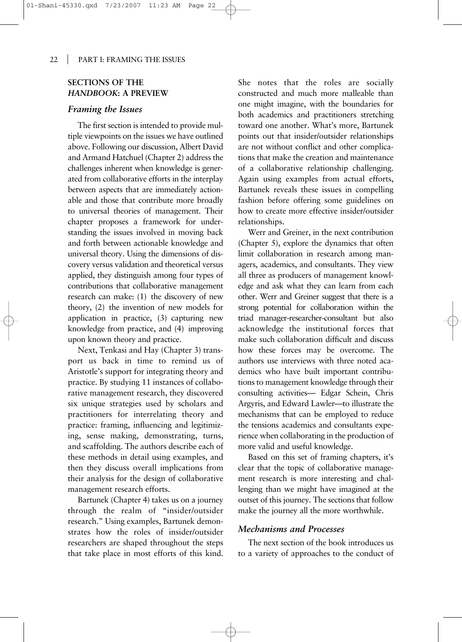# **SECTIONS OF THE**  *HANDBOOK***: A PREVIEW**

# *Framing the Issues*

The first section is intended to provide multiple viewpoints on the issues we have outlined above. Following our discussion, Albert David and Armand Hatchuel (Chapter 2) address the challenges inherent when knowledge is generated from collaborative efforts in the interplay between aspects that are immediately actionable and those that contribute more broadly to universal theories of management. Their chapter proposes a framework for understanding the issues involved in moving back and forth between actionable knowledge and universal theory. Using the dimensions of discovery versus validation and theoretical versus applied, they distinguish among four types of contributions that collaborative management research can make: (1) the discovery of new theory, (2) the invention of new models for application in practice, (3) capturing new knowledge from practice, and (4) improving upon known theory and practice.

Next, Tenkasi and Hay (Chapter 3) transport us back in time to remind us of Aristotle's support for integrating theory and practice. By studying 11 instances of collaborative management research, they discovered six unique strategies used by scholars and practitioners for interrelating theory and practice: framing, influencing and legitimizing, sense making, demonstrating, turns, and scaffolding. The authors describe each of these methods in detail using examples, and then they discuss overall implications from their analysis for the design of collaborative management research efforts.

Bartunek (Chapter 4) takes us on a journey through the realm of "insider/outsider research." Using examples, Bartunek demonstrates how the roles of insider/outsider researchers are shaped throughout the steps that take place in most efforts of this kind.

She notes that the roles are socially constructed and much more malleable than one might imagine, with the boundaries for both academics and practitioners stretching toward one another. What's more, Bartunek points out that insider/outsider relationships are not without conflict and other complications that make the creation and maintenance of a collaborative relationship challenging. Again using examples from actual efforts, Bartunek reveals these issues in compelling fashion before offering some guidelines on how to create more effective insider/outsider relationships.

Werr and Greiner, in the next contribution (Chapter 5), explore the dynamics that often limit collaboration in research among managers, academics, and consultants. They view all three as producers of management knowledge and ask what they can learn from each other. Werr and Greiner suggest that there is a strong potential for collaboration within the triad manager-researcher-consultant but also acknowledge the institutional forces that make such collaboration difficult and discuss how these forces may be overcome. The authors use interviews with three noted academics who have built important contributions to management knowledge through their consulting activities— Edgar Schein, Chris Argyris, and Edward Lawler—to illustrate the mechanisms that can be employed to reduce the tensions academics and consultants experience when collaborating in the production of more valid and useful knowledge.

Based on this set of framing chapters, it's clear that the topic of collaborative management research is more interesting and challenging than we might have imagined at the outset of this journey. The sections that follow make the journey all the more worthwhile.

# *Mechanisms and Processes*

The next section of the book introduces us to a variety of approaches to the conduct of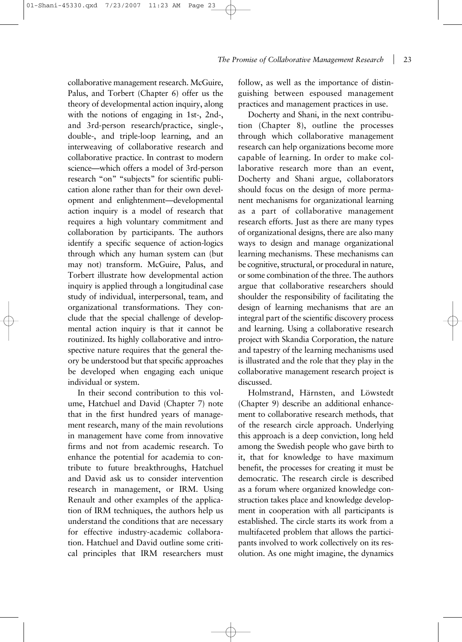collaborative management research. McGuire, Palus, and Torbert (Chapter 6) offer us the theory of developmental action inquiry, along with the notions of engaging in 1st-, 2nd-, and 3rd-person research/practice, single-, double-, and triple-loop learning, and an interweaving of collaborative research and collaborative practice. In contrast to modern science—which offers a model of 3rd-person research "on" "subjects" for scientific publication alone rather than for their own development and enlightenment—developmental action inquiry is a model of research that requires a high voluntary commitment and collaboration by participants. The authors identify a specific sequence of action-logics through which any human system can (but may not) transform. McGuire, Palus, and Torbert illustrate how developmental action inquiry is applied through a longitudinal case study of individual, interpersonal, team, and organizational transformations. They conclude that the special challenge of developmental action inquiry is that it cannot be routinized. Its highly collaborative and introspective nature requires that the general theory be understood but that specific approaches be developed when engaging each unique individual or system.

In their second contribution to this volume, Hatchuel and David (Chapter 7) note that in the first hundred years of management research, many of the main revolutions in management have come from innovative firms and not from academic research. To enhance the potential for academia to contribute to future breakthroughs, Hatchuel and David ask us to consider intervention research in management, or IRM. Using Renault and other examples of the application of IRM techniques, the authors help us understand the conditions that are necessary for effective industry-academic collaboration. Hatchuel and David outline some critical principles that IRM researchers must

follow, as well as the importance of distinguishing between espoused management practices and management practices in use.

Docherty and Shani, in the next contribution (Chapter 8), outline the processes through which collaborative management research can help organizations become more capable of learning. In order to make collaborative research more than an event, Docherty and Shani argue, collaborators should focus on the design of more permanent mechanisms for organizational learning as a part of collaborative management research efforts. Just as there are many types of organizational designs, there are also many ways to design and manage organizational learning mechanisms. These mechanisms can be cognitive, structural, or procedural in nature, or some combination of the three. The authors argue that collaborative researchers should shoulder the responsibility of facilitating the design of learning mechanisms that are an integral part of the scientific discovery process and learning. Using a collaborative research project with Skandia Corporation, the nature and tapestry of the learning mechanisms used is illustrated and the role that they play in the collaborative management research project is discussed.

Holmstrand, Härnsten, and Löwstedt (Chapter 9) describe an additional enhancement to collaborative research methods, that of the research circle approach. Underlying this approach is a deep conviction, long held among the Swedish people who gave birth to it, that for knowledge to have maximum benefit, the processes for creating it must be democratic. The research circle is described as a forum where organized knowledge construction takes place and knowledge development in cooperation with all participants is established. The circle starts its work from a multifaceted problem that allows the participants involved to work collectively on its resolution. As one might imagine, the dynamics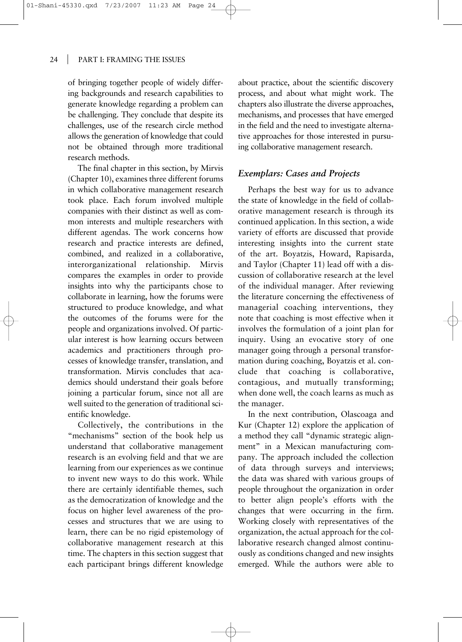of bringing together people of widely differing backgrounds and research capabilities to generate knowledge regarding a problem can be challenging. They conclude that despite its challenges, use of the research circle method allows the generation of knowledge that could not be obtained through more traditional research methods.

The final chapter in this section, by Mirvis (Chapter 10), examines three different forums in which collaborative management research took place. Each forum involved multiple companies with their distinct as well as common interests and multiple researchers with different agendas. The work concerns how research and practice interests are defined, combined, and realized in a collaborative, interorganizational relationship. Mirvis compares the examples in order to provide insights into why the participants chose to collaborate in learning, how the forums were structured to produce knowledge, and what the outcomes of the forums were for the people and organizations involved. Of particular interest is how learning occurs between academics and practitioners through processes of knowledge transfer, translation, and transformation. Mirvis concludes that academics should understand their goals before joining a particular forum, since not all are well suited to the generation of traditional scientific knowledge.

Collectively, the contributions in the "mechanisms" section of the book help us understand that collaborative management research is an evolving field and that we are learning from our experiences as we continue to invent new ways to do this work. While there are certainly identifiable themes, such as the democratization of knowledge and the focus on higher level awareness of the processes and structures that we are using to learn, there can be no rigid epistemology of collaborative management research at this time. The chapters in this section suggest that each participant brings different knowledge

about practice, about the scientific discovery process, and about what might work. The chapters also illustrate the diverse approaches, mechanisms, and processes that have emerged in the field and the need to investigate alternative approaches for those interested in pursuing collaborative management research.

## *Exemplars: Cases and Projects*

Perhaps the best way for us to advance the state of knowledge in the field of collaborative management research is through its continued application. In this section, a wide variety of efforts are discussed that provide interesting insights into the current state of the art. Boyatzis, Howard, Rapisarda, and Taylor (Chapter 11) lead off with a discussion of collaborative research at the level of the individual manager. After reviewing the literature concerning the effectiveness of managerial coaching interventions, they note that coaching is most effective when it involves the formulation of a joint plan for inquiry. Using an evocative story of one manager going through a personal transformation during coaching, Boyatzis et al. conclude that coaching is collaborative, contagious, and mutually transforming; when done well, the coach learns as much as the manager.

In the next contribution, Olascoaga and Kur (Chapter 12) explore the application of a method they call "dynamic strategic alignment" in a Mexican manufacturing company. The approach included the collection of data through surveys and interviews; the data was shared with various groups of people throughout the organization in order to better align people's efforts with the changes that were occurring in the firm. Working closely with representatives of the organization, the actual approach for the collaborative research changed almost continuously as conditions changed and new insights emerged. While the authors were able to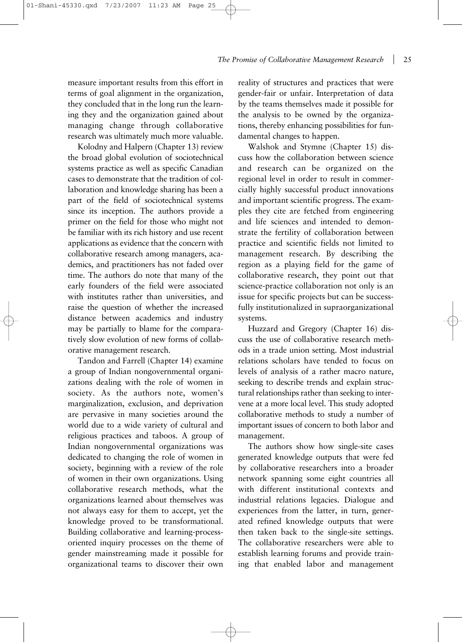01-Shani-45330.qxd 7/23/2007 11:23

measure important results from this effort in terms of goal alignment in the organization, they concluded that in the long run the learning they and the organization gained about managing change through collaborative research was ultimately much more valuable.

Kolodny and Halpern (Chapter 13) review the broad global evolution of sociotechnical systems practice as well as specific Canadian cases to demonstrate that the tradition of collaboration and knowledge sharing has been a part of the field of sociotechnical systems since its inception. The authors provide a primer on the field for those who might not be familiar with its rich history and use recent applications as evidence that the concern with collaborative research among managers, academics, and practitioners has not faded over time. The authors do note that many of the early founders of the field were associated with institutes rather than universities, and raise the question of whether the increased distance between academics and industry may be partially to blame for the comparatively slow evolution of new forms of collaborative management research.

Tandon and Farrell (Chapter 14) examine a group of Indian nongovernmental organizations dealing with the role of women in society. As the authors note, women's marginalization, exclusion, and deprivation are pervasive in many societies around the world due to a wide variety of cultural and religious practices and taboos. A group of Indian nongovernmental organizations was dedicated to changing the role of women in society, beginning with a review of the role of women in their own organizations. Using collaborative research methods, what the organizations learned about themselves was not always easy for them to accept, yet the knowledge proved to be transformational. Building collaborative and learning-processoriented inquiry processes on the theme of gender mainstreaming made it possible for organizational teams to discover their own

reality of structures and practices that were gender-fair or unfair. Interpretation of data by the teams themselves made it possible for the analysis to be owned by the organizations, thereby enhancing possibilities for fundamental changes to happen.

Walshok and Stymne (Chapter 15) discuss how the collaboration between science and research can be organized on the regional level in order to result in commercially highly successful product innovations and important scientific progress. The examples they cite are fetched from engineering and life sciences and intended to demonstrate the fertility of collaboration between practice and scientific fields not limited to management research. By describing the region as a playing field for the game of collaborative research, they point out that science-practice collaboration not only is an issue for specific projects but can be successfully institutionalized in supraorganizational systems.

Huzzard and Gregory (Chapter 16) discuss the use of collaborative research methods in a trade union setting. Most industrial relations scholars have tended to focus on levels of analysis of a rather macro nature, seeking to describe trends and explain structural relationships rather than seeking to intervene at a more local level. This study adopted collaborative methods to study a number of important issues of concern to both labor and management.

The authors show how single-site cases generated knowledge outputs that were fed by collaborative researchers into a broader network spanning some eight countries all with different institutional contexts and industrial relations legacies. Dialogue and experiences from the latter, in turn, generated refined knowledge outputs that were then taken back to the single-site settings. The collaborative researchers were able to establish learning forums and provide training that enabled labor and management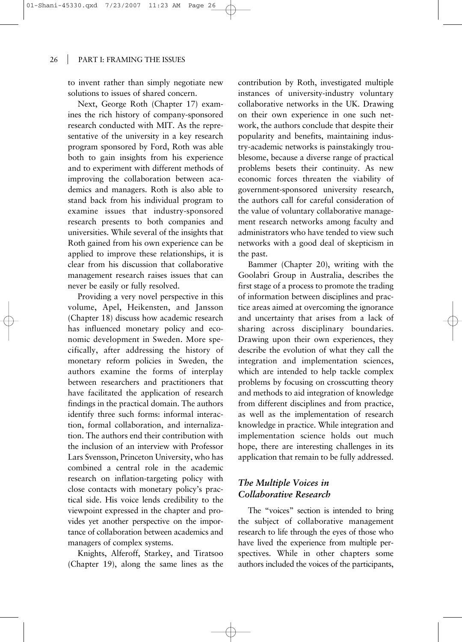to invent rather than simply negotiate new solutions to issues of shared concern.

Next, George Roth (Chapter 17) examines the rich history of company-sponsored research conducted with MIT. As the representative of the university in a key research program sponsored by Ford, Roth was able both to gain insights from his experience and to experiment with different methods of improving the collaboration between academics and managers. Roth is also able to stand back from his individual program to examine issues that industry-sponsored research presents to both companies and universities. While several of the insights that Roth gained from his own experience can be applied to improve these relationships, it is clear from his discussion that collaborative management research raises issues that can never be easily or fully resolved.

Providing a very novel perspective in this volume, Apel, Heikensten, and Jansson (Chapter 18) discuss how academic research has influenced monetary policy and economic development in Sweden. More specifically, after addressing the history of monetary reform policies in Sweden, the authors examine the forms of interplay between researchers and practitioners that have facilitated the application of research findings in the practical domain. The authors identify three such forms: informal interaction, formal collaboration, and internalization. The authors end their contribution with the inclusion of an interview with Professor Lars Svensson, Princeton University, who has combined a central role in the academic research on inflation-targeting policy with close contacts with monetary policy's practical side. His voice lends credibility to the viewpoint expressed in the chapter and provides yet another perspective on the importance of collaboration between academics and managers of complex systems.

Knights, Alferoff, Starkey, and Tiratsoo (Chapter 19), along the same lines as the contribution by Roth, investigated multiple instances of university-industry voluntary collaborative networks in the UK. Drawing on their own experience in one such network, the authors conclude that despite their popularity and benefits, maintaining industry-academic networks is painstakingly troublesome, because a diverse range of practical problems besets their continuity. As new economic forces threaten the viability of government-sponsored university research, the authors call for careful consideration of the value of voluntary collaborative management research networks among faculty and administrators who have tended to view such networks with a good deal of skepticism in the past.

Bammer (Chapter 20), writing with the Goolabri Group in Australia, describes the first stage of a process to promote the trading of information between disciplines and practice areas aimed at overcoming the ignorance and uncertainty that arises from a lack of sharing across disciplinary boundaries. Drawing upon their own experiences, they describe the evolution of what they call the integration and implementation sciences, which are intended to help tackle complex problems by focusing on crosscutting theory and methods to aid integration of knowledge from different disciplines and from practice, as well as the implementation of research knowledge in practice. While integration and implementation science holds out much hope, there are interesting challenges in its application that remain to be fully addressed.

# *The Multiple Voices in Collaborative Research*

The "voices" section is intended to bring the subject of collaborative management research to life through the eyes of those who have lived the experience from multiple perspectives. While in other chapters some authors included the voices of the participants,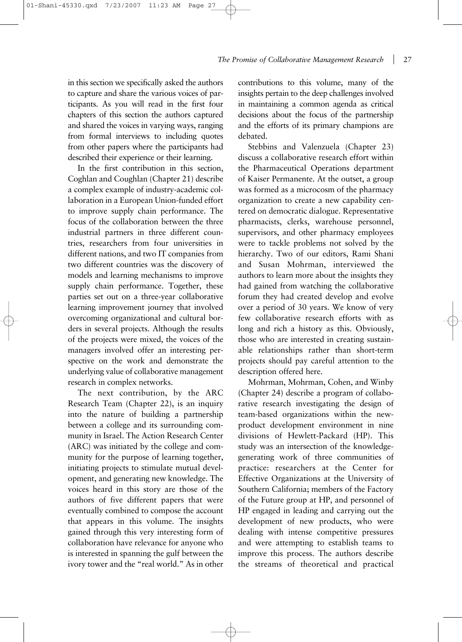in this section we specifically asked the authors to capture and share the various voices of participants. As you will read in the first four chapters of this section the authors captured and shared the voices in varying ways, ranging from formal interviews to including quotes from other papers where the participants had described their experience or their learning.

01-Shani-45330.qxd 7/23/2007 11:23

In the first contribution in this section, Coghlan and Coughlan (Chapter 21) describe a complex example of industry-academic collaboration in a European Union-funded effort to improve supply chain performance. The focus of the collaboration between the three industrial partners in three different countries, researchers from four universities in different nations, and two IT companies from two different countries was the discovery of models and learning mechanisms to improve supply chain performance. Together, these parties set out on a three-year collaborative learning improvement journey that involved overcoming organizational and cultural borders in several projects. Although the results of the projects were mixed, the voices of the managers involved offer an interesting perspective on the work and demonstrate the underlying value of collaborative management research in complex networks.

The next contribution, by the ARC Research Team (Chapter 22), is an inquiry into the nature of building a partnership between a college and its surrounding community in Israel. The Action Research Center (ARC) was initiated by the college and community for the purpose of learning together, initiating projects to stimulate mutual development, and generating new knowledge. The voices heard in this story are those of the authors of five different papers that were eventually combined to compose the account that appears in this volume. The insights gained through this very interesting form of collaboration have relevance for anyone who is interested in spanning the gulf between the ivory tower and the "real world." As in other

contributions to this volume, many of the insights pertain to the deep challenges involved in maintaining a common agenda as critical decisions about the focus of the partnership and the efforts of its primary champions are debated.

Stebbins and Valenzuela (Chapter 23) discuss a collaborative research effort within the Pharmaceutical Operations department of Kaiser Permanente. At the outset, a group was formed as a microcosm of the pharmacy organization to create a new capability centered on democratic dialogue. Representative pharmacists, clerks, warehouse personnel, supervisors, and other pharmacy employees were to tackle problems not solved by the hierarchy. Two of our editors, Rami Shani and Susan Mohrman, interviewed the authors to learn more about the insights they had gained from watching the collaborative forum they had created develop and evolve over a period of 30 years. We know of very few collaborative research efforts with as long and rich a history as this. Obviously, those who are interested in creating sustainable relationships rather than short-term projects should pay careful attention to the description offered here.

Mohrman, Mohrman, Cohen, and Winby (Chapter 24) describe a program of collaborative research investigating the design of team-based organizations within the newproduct development environment in nine divisions of Hewlett-Packard (HP). This study was an intersection of the knowledgegenerating work of three communities of practice: researchers at the Center for Effective Organizations at the University of Southern California; members of the Factory of the Future group at HP, and personnel of HP engaged in leading and carrying out the development of new products, who were dealing with intense competitive pressures and were attempting to establish teams to improve this process. The authors describe the streams of theoretical and practical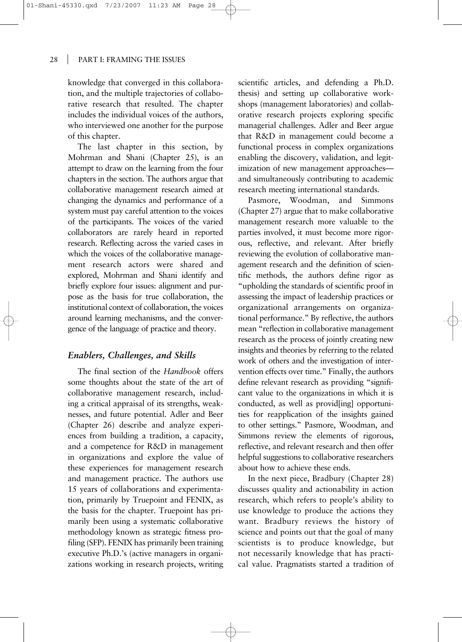knowledge that converged in this collaboration, and the multiple trajectories of collaborative research that resulted. The chapter includes the individual voices of the authors, who interviewed one another for the purpose of this chapter.

The last chapter in this section, by Mohrman and Shani (Chapter 25), is an attempt to draw on the learning from the four chapters in the section. The authors argue that collaborative management research aimed at changing the dynamics and performance of a system must pay careful attention to the voices of the participants. The voices of the varied collaborators are rarely heard in reported research. Reflecting across the varied cases in which the voices of the collaborative management research actors were shared and explored, Mohrman and Shani identify and briefly explore four issues: alignment and purpose as the basis for true collaboration, the institutional context of collaboration, the voices around learning mechanisms, and the convergence of the language of practice and theory.

# *Enablers, Challenges, and Skills*

The final section of the *Handbook* offers some thoughts about the state of the art of collaborative management research, including a critical appraisal of its strengths, weaknesses, and future potential. Adler and Beer (Chapter 26) describe and analyze experiences from building a tradition, a capacity, and a competence for R&D in management in organizations and explore the value of these experiences for management research and management practice. The authors use 15 years of collaborations and experimentation, primarily by Truepoint and FENIX, as the basis for the chapter. Truepoint has primarily been using a systematic collaborative methodology known as strategic fitness profiling (SFP). FENIX has primarily been training executive Ph.D.'s (active managers in organizations working in research projects, writing

scientific articles, and defending a Ph.D. thesis) and setting up collaborative workshops (management laboratories) and collaborative research projects exploring specific managerial challenges. Adler and Beer argue that R&D in management could become a functional process in complex organizations enabling the discovery, validation, and legitimization of new management approaches and simultaneously contributing to academic research meeting international standards.

Pasmore, Woodman, and Simmons (Chapter 27) argue that to make collaborative management research more valuable to the parties involved, it must become more rigorous, reflective, and relevant. After briefly reviewing the evolution of collaborative management research and the definition of scientific methods, the authors define rigor as "upholding the standards of scientific proof in assessing the impact of leadership practices or organizational arrangements on organizational performance." By reflective, the authors mean "reflection in collaborative management research as the process of jointly creating new insights and theories by referring to the related work of others and the investigation of intervention effects over time." Finally, the authors define relevant research as providing "significant value to the organizations in which it is conducted, as well as provid[ing] opportunities for reapplication of the insights gained to other settings." Pasmore, Woodman, and Simmons review the elements of rigorous, reflective, and relevant research and then offer helpful suggestions to collaborative researchers about how to achieve these ends.

In the next piece, Bradbury (Chapter 28) discusses quality and actionability in action research, which refers to people's ability to use knowledge to produce the actions they want. Bradbury reviews the history of science and points out that the goal of many scientists is to produce knowledge, but not necessarily knowledge that has practical value. Pragmatists started a tradition of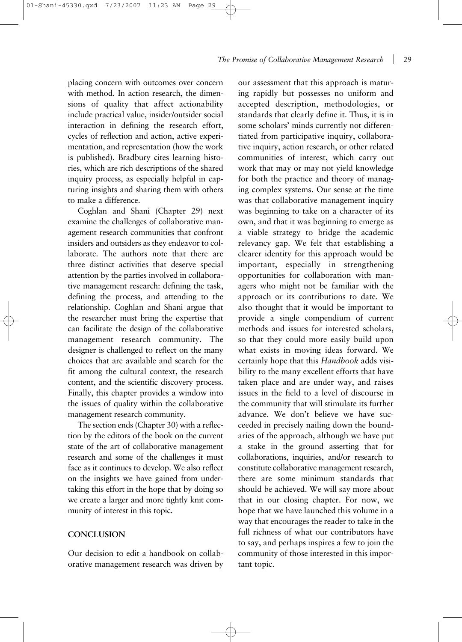placing concern with outcomes over concern with method. In action research, the dimensions of quality that affect actionability include practical value, insider/outsider social interaction in defining the research effort, cycles of reflection and action, active experimentation, and representation (how the work is published). Bradbury cites learning histories, which are rich descriptions of the shared inquiry process, as especially helpful in capturing insights and sharing them with others to make a difference.

01-Shani-45330.qxd 7/23/2007 11:23

Coghlan and Shani (Chapter 29) next examine the challenges of collaborative management research communities that confront insiders and outsiders as they endeavor to collaborate. The authors note that there are three distinct activities that deserve special attention by the parties involved in collaborative management research: defining the task, defining the process, and attending to the relationship. Coghlan and Shani argue that the researcher must bring the expertise that can facilitate the design of the collaborative management research community. The designer is challenged to reflect on the many choices that are available and search for the fit among the cultural context, the research content, and the scientific discovery process. Finally, this chapter provides a window into the issues of quality within the collaborative management research community.

The section ends (Chapter 30) with a reflection by the editors of the book on the current state of the art of collaborative management research and some of the challenges it must face as it continues to develop. We also reflect on the insights we have gained from undertaking this effort in the hope that by doing so we create a larger and more tightly knit community of interest in this topic.

# **CONCLUSION**

Our decision to edit a handbook on collaborative management research was driven by our assessment that this approach is maturing rapidly but possesses no uniform and accepted description, methodologies, or standards that clearly define it. Thus, it is in some scholars' minds currently not differentiated from participative inquiry, collaborative inquiry, action research, or other related communities of interest, which carry out work that may or may not yield knowledge for both the practice and theory of managing complex systems. Our sense at the time was that collaborative management inquiry was beginning to take on a character of its own, and that it was beginning to emerge as a viable strategy to bridge the academic relevancy gap. We felt that establishing a clearer identity for this approach would be important, especially in strengthening opportunities for collaboration with managers who might not be familiar with the approach or its contributions to date. We also thought that it would be important to provide a single compendium of current methods and issues for interested scholars, so that they could more easily build upon what exists in moving ideas forward. We certainly hope that this *Handbook* adds visibility to the many excellent efforts that have taken place and are under way, and raises issues in the field to a level of discourse in the community that will stimulate its further advance. We don't believe we have succeeded in precisely nailing down the boundaries of the approach, although we have put a stake in the ground asserting that for collaborations, inquiries, and/or research to constitute collaborative management research, there are some minimum standards that should be achieved. We will say more about that in our closing chapter. For now, we hope that we have launched this volume in a way that encourages the reader to take in the full richness of what our contributors have to say, and perhaps inspires a few to join the community of those interested in this important topic.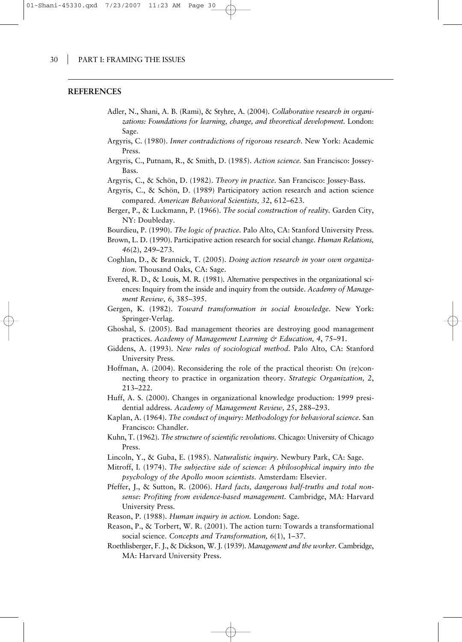## **REFERENCES**

- Adler, N., Shani, A. B. (Rami), & Styhre, A. (2004). *Collaborative research in organizations: Foundations for learning, change, and theoretical development.* London: Sage.
- Argyris, C. (1980). *Inner contradictions of rigorous research.* New York: Academic Press.
- Argyris, C., Putnam, R., & Smith, D. (1985). *Action science.* San Francisco: Jossey-Bass.

Argyris, C., & Schön, D. (1982). *Theory in practice.* San Francisco: Jossey-Bass.

Argyris, C., & Schön, D. (1989) Participatory action research and action science compared. *American Behavioral Scientists, 32*, 612–623.

Berger, P., & Luckmann, P. (1966). *The social construction of reality.* Garden City, NY: Doubleday.

Bourdieu, P. (1990). *The logic of practice.* Palo Alto, CA: Stanford University Press.

- Brown, L. D. (1990). Participative action research for social change. *Human Relations, 46*(2), 249–273.
- Coghlan, D., & Brannick, T. (2005). *Doing action research in your own organization.* Thousand Oaks, CA: Sage.
- Evered, R. D., & Louis, M. R. (1981). Alternative perspectives in the organizational sciences: Inquiry from the inside and inquiry from the outside. *Academy of Management Review, 6*, 385–395.
- Gergen, K. (1982). *Toward transformation in social knowledge.* New York: Springer-Verlag.
- Ghoshal, S. (2005). Bad management theories are destroying good management practices. *Academy of Management Learning & Education, 4*, 75–91.
- Giddens, A. (1993). *New rules of sociological method.* Palo Alto, CA: Stanford University Press.
- Hoffman, A. (2004). Reconsidering the role of the practical theorist: On (re)connecting theory to practice in organization theory. *Strategic Organization, 2*, 213–222.
- Huff, A. S. (2000). Changes in organizational knowledge production: 1999 presidential address. *Academy of Management Review, 25*, 288–293.
- Kaplan, A. (1964). *The conduct of inquiry: Methodology for behavioral science*. San Francisco: Chandler.
- Kuhn, T. (1962). *The structure of scientific revolutions.* Chicago: University of Chicago Press.
- Lincoln, Y., & Guba, E. (1985). *Naturalistic inquiry.* Newbury Park, CA: Sage.
- Mitroff, I. (1974). *The subjective side of science: A philosophical inquiry into the psychology of the Apollo moon scientists.* Amsterdam: Elsevier.
- Pfeffer, J., & Sutton, R. (2006). *Hard facts, dangerous half-truths and total nonsense: Profiting from evidence-based management.* Cambridge, MA: Harvard University Press.
- Reason, P. (1988). *Human inquiry in action.* London: Sage.
- Reason, P., & Torbert, W. R. (2001). The action turn: Towards a transformational social science. *Concepts and Transformation, 6*(1), 1–37.
- Roethlisberger, F. J., & Dickson, W. J. (1939). *Management and the worker.* Cambridge, MA: Harvard University Press.